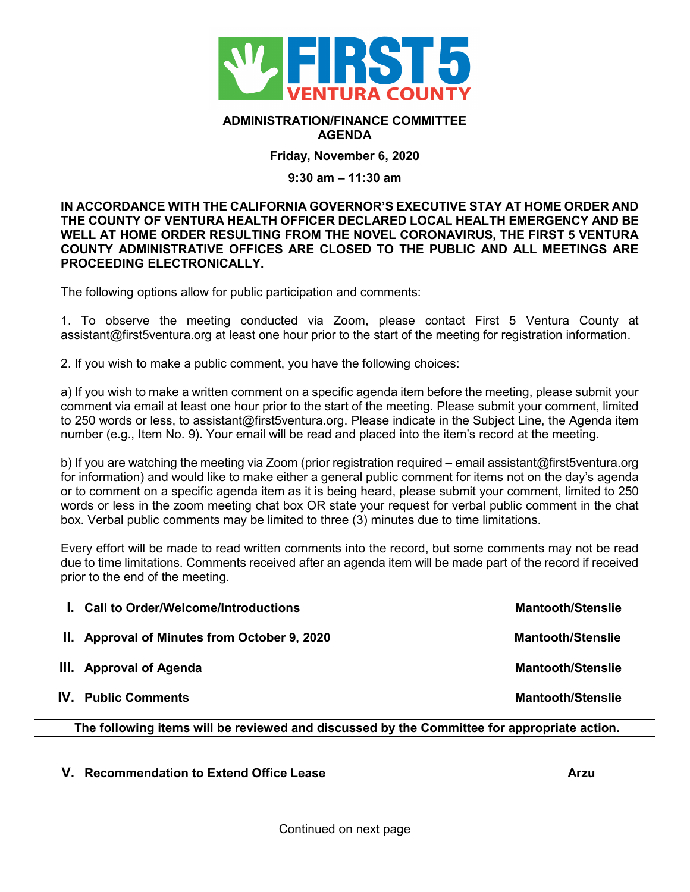

## **ADMINISTRATION/FINANCE COMMITTEE AGENDA**

**Friday, November 6, 2020**

## **9:30 am – 11:30 am**

**IN ACCORDANCE WITH THE CALIFORNIA GOVERNOR'S EXECUTIVE STAY AT HOME ORDER AND THE COUNTY OF VENTURA HEALTH OFFICER DECLARED LOCAL HEALTH EMERGENCY AND BE WELL AT HOME ORDER RESULTING FROM THE NOVEL CORONAVIRUS, THE FIRST 5 VENTURA COUNTY ADMINISTRATIVE OFFICES ARE CLOSED TO THE PUBLIC AND ALL MEETINGS ARE PROCEEDING ELECTRONICALLY.** 

The following options allow for public participation and comments:

1. To observe the meeting conducted via Zoom, please contact First 5 Ventura County at assistant@first5ventura.org at least one hour prior to the start of the meeting for registration information.

2. If you wish to make a public comment, you have the following choices:

a) If you wish to make a written comment on a specific agenda item before the meeting, please submit your comment via email at least one hour prior to the start of the meeting. Please submit your comment, limited to 250 words or less, to assistant@first5ventura.org. Please indicate in the Subject Line, the Agenda item number (e.g., Item No. 9). Your email will be read and placed into the item's record at the meeting.

b) If you are watching the meeting via Zoom (prior registration required – email assistant@first5ventura.org for information) and would like to make either a general public comment for items not on the day's agenda or to comment on a specific agenda item as it is being heard, please submit your comment, limited to 250 words or less in the zoom meeting chat box OR state your request for verbal public comment in the chat box. Verbal public comments may be limited to three (3) minutes due to time limitations.

Every effort will be made to read written comments into the record, but some comments may not be read due to time limitations. Comments received after an agenda item will be made part of the record if received prior to the end of the meeting.

| 1. Call to Order/Welcome/Introductions       | <b>Mantooth/Stenslie</b> |
|----------------------------------------------|--------------------------|
| II. Approval of Minutes from October 9, 2020 | <b>Mantooth/Stenslie</b> |
| III. Approval of Agenda                      | <b>Mantooth/Stenslie</b> |
| <b>IV.</b> Public Comments                   | <b>Mantooth/Stenslie</b> |

**The following items will be reviewed and discussed by the Committee for appropriate action.**

**V. Recommendation to Extend Office Lease Arzu**